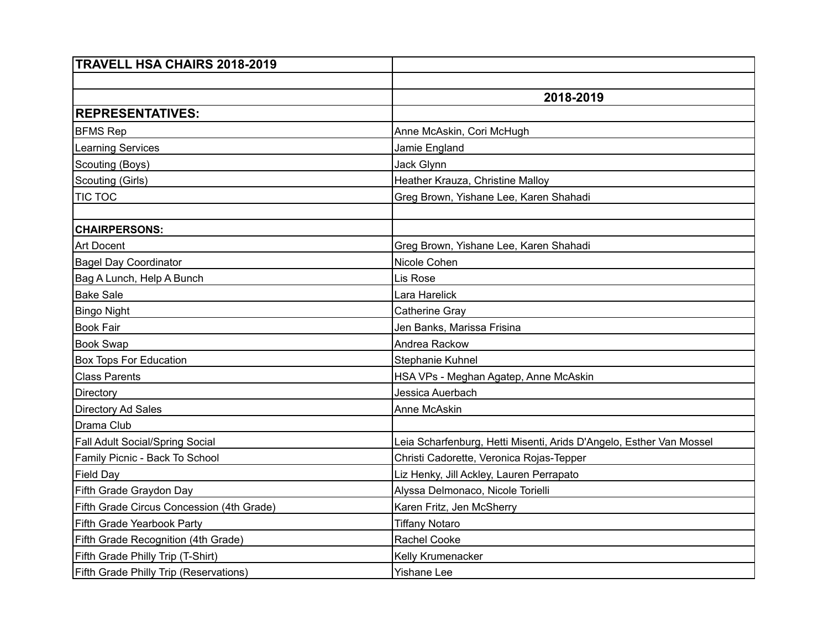| TRAVELL HSA CHAIRS 2018-2019                  |                                                                     |
|-----------------------------------------------|---------------------------------------------------------------------|
|                                               |                                                                     |
|                                               | 2018-2019                                                           |
| <b>REPRESENTATIVES:</b>                       |                                                                     |
| <b>BFMS Rep</b>                               | Anne McAskin, Cori McHugh                                           |
| <b>Learning Services</b>                      | Jamie England                                                       |
| Scouting (Boys)                               | Jack Glynn                                                          |
| Scouting (Girls)                              | Heather Krauza, Christine Malloy                                    |
| <b>TIC TOC</b>                                | Greg Brown, Yishane Lee, Karen Shahadi                              |
|                                               |                                                                     |
| <b>CHAIRPERSONS:</b>                          |                                                                     |
| <b>Art Docent</b>                             | Greg Brown, Yishane Lee, Karen Shahadi                              |
| <b>Bagel Day Coordinator</b>                  | Nicole Cohen                                                        |
| Bag A Lunch, Help A Bunch                     | Lis Rose                                                            |
| <b>Bake Sale</b>                              | Lara Harelick                                                       |
| <b>Bingo Night</b>                            | Catherine Gray                                                      |
| <b>Book Fair</b>                              | Jen Banks, Marissa Frisina                                          |
| <b>Book Swap</b>                              | Andrea Rackow                                                       |
| <b>Box Tops For Education</b>                 | Stephanie Kuhnel                                                    |
| <b>Class Parents</b>                          | HSA VPs - Meghan Agatep, Anne McAskin                               |
| Directory                                     | Jessica Auerbach                                                    |
| Directory Ad Sales                            | Anne McAskin                                                        |
| Drama Club                                    |                                                                     |
| Fall Adult Social/Spring Social               | Leia Scharfenburg, Hetti Misenti, Arids D'Angelo, Esther Van Mossel |
| Family Picnic - Back To School                | Christi Cadorette, Veronica Rojas-Tepper                            |
| <b>Field Day</b>                              | Liz Henky, Jill Ackley, Lauren Perrapato                            |
| Fifth Grade Graydon Day                       | Alyssa Delmonaco, Nicole Torielli                                   |
| Fifth Grade Circus Concession (4th Grade)     | Karen Fritz, Jen McSherry                                           |
| Fifth Grade Yearbook Party                    | <b>Tiffany Notaro</b>                                               |
| Fifth Grade Recognition (4th Grade)           | Rachel Cooke                                                        |
| Fifth Grade Philly Trip (T-Shirt)             | Kelly Krumenacker                                                   |
| <b>Fifth Grade Philly Trip (Reservations)</b> | Yishane Lee                                                         |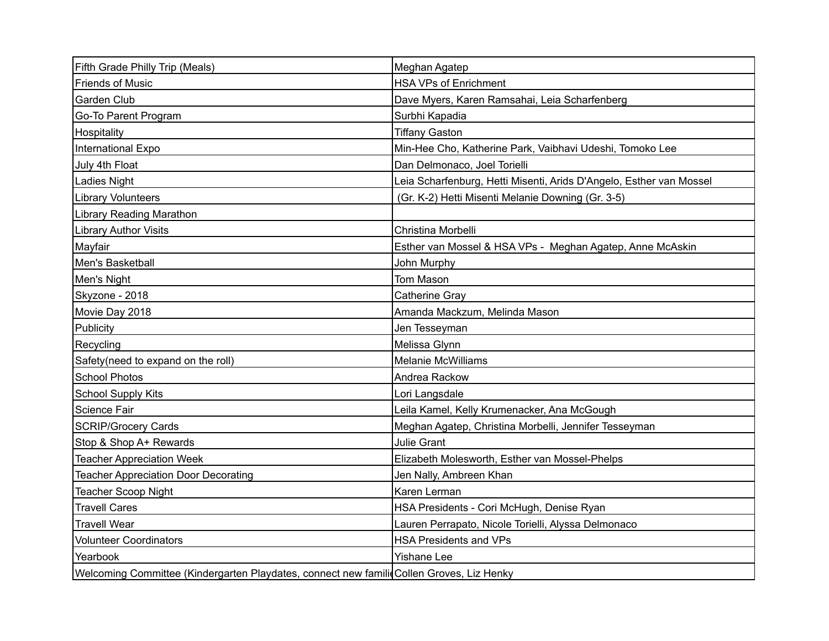| Fifth Grade Philly Trip (Meals)                                                           | Meghan Agatep                                                       |
|-------------------------------------------------------------------------------------------|---------------------------------------------------------------------|
| <b>Friends of Music</b>                                                                   | <b>HSA VPs of Enrichment</b>                                        |
| <b>Garden Club</b>                                                                        | Dave Myers, Karen Ramsahai, Leia Scharfenberg                       |
| Go-To Parent Program                                                                      | Surbhi Kapadia                                                      |
| Hospitality                                                                               | <b>Tiffany Gaston</b>                                               |
| International Expo                                                                        | Min-Hee Cho, Katherine Park, Vaibhavi Udeshi, Tomoko Lee            |
| July 4th Float                                                                            | Dan Delmonaco, Joel Torielli                                        |
| Ladies Night                                                                              | Leia Scharfenburg, Hetti Misenti, Arids D'Angelo, Esther van Mossel |
| <b>Library Volunteers</b>                                                                 | (Gr. K-2) Hetti Misenti Melanie Downing (Gr. 3-5)                   |
| <b>Library Reading Marathon</b>                                                           |                                                                     |
| <b>Library Author Visits</b>                                                              | Christina Morbelli                                                  |
| Mayfair                                                                                   | Esther van Mossel & HSA VPs - Meghan Agatep, Anne McAskin           |
| Men's Basketball                                                                          | John Murphy                                                         |
| Men's Night                                                                               | Tom Mason                                                           |
| Skyzone - 2018                                                                            | <b>Catherine Gray</b>                                               |
| Movie Day 2018                                                                            | Amanda Mackzum, Melinda Mason                                       |
| Publicity                                                                                 | Jen Tesseyman                                                       |
| Recycling                                                                                 | Melissa Glynn                                                       |
| Safety(need to expand on the roll)                                                        | <b>Melanie McWilliams</b>                                           |
| <b>School Photos</b>                                                                      | Andrea Rackow                                                       |
| <b>School Supply Kits</b>                                                                 | Lori Langsdale                                                      |
| Science Fair                                                                              | Leila Kamel, Kelly Krumenacker, Ana McGough                         |
| <b>SCRIP/Grocery Cards</b>                                                                | Meghan Agatep, Christina Morbelli, Jennifer Tesseyman               |
| Stop & Shop A+ Rewards                                                                    | <b>Julie Grant</b>                                                  |
| <b>Teacher Appreciation Week</b>                                                          | Elizabeth Molesworth, Esther van Mossel-Phelps                      |
| <b>Teacher Appreciation Door Decorating</b>                                               | Jen Nally, Ambreen Khan                                             |
| <b>Teacher Scoop Night</b>                                                                | Karen Lerman                                                        |
| <b>Travell Cares</b>                                                                      | HSA Presidents - Cori McHugh, Denise Ryan                           |
| <b>Travell Wear</b>                                                                       | Lauren Perrapato, Nicole Torielli, Alyssa Delmonaco                 |
| <b>Volunteer Coordinators</b>                                                             | <b>HSA Presidents and VPs</b>                                       |
| Yearbook                                                                                  | <b>Yishane Lee</b>                                                  |
| Welcoming Committee (Kindergarten Playdates, connect new familic Collen Groves, Liz Henky |                                                                     |